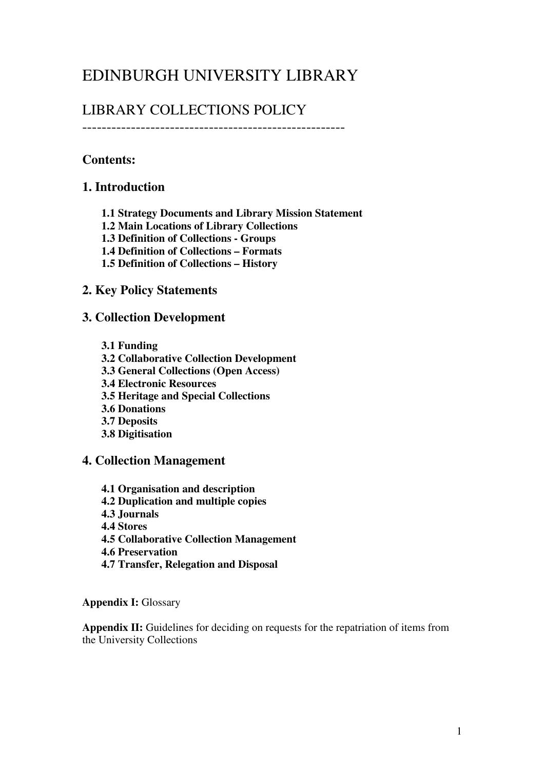# EDINBURGH UNIVERSITY LIBRARY

## LIBRARY COLLECTIONS POLICY

------------------------------------------------------

## Contents:

## 1. Introduction

- 1.1 Strategy Documents and Library Mission Statement
- 1.2 Main Locations of Library Collections
- 1.3 Definition of Collections Groups
- 1.4 Definition of Collections Formats
- 1.5 Definition of Collections History

### 2. Key Policy Statements

### 3. Collection Development

- 3.1 Funding
- 3.2 Collaborative Collection Development
- 3.3 General Collections (Open Access)
- 3.4 Electronic Resources
- 3.5 Heritage and Special Collections
- 3.6 Donations
- 3.7 Deposits
- 3.8 Digitisation

### 4. Collection Management

- 4.1 Organisation and description
- 4.2 Duplication and multiple copies
- 4.3 Journals
- 4.4 Stores
- 4.5 Collaborative Collection Management
- 4.6 Preservation
- 4.7 Transfer, Relegation and Disposal

#### Appendix I: Glossary

Appendix II: Guidelines for deciding on requests for the repatriation of items from the University Collections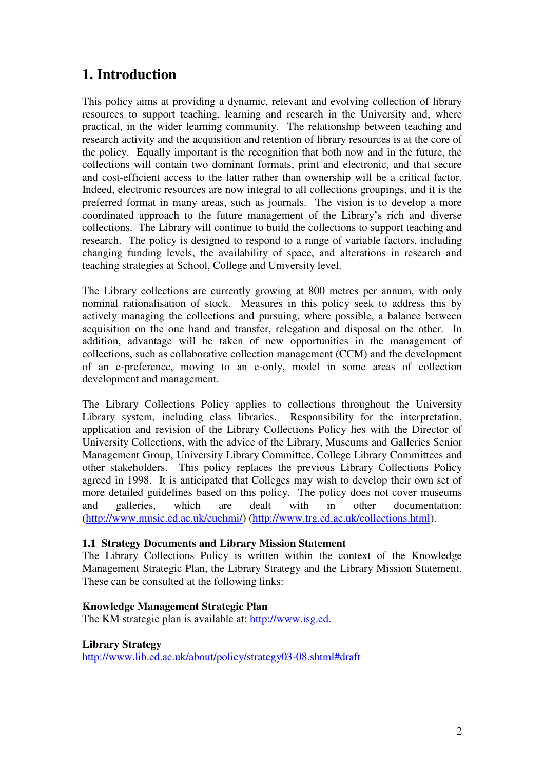## 1. Introduction

This policy aims at providing a dynamic, relevant and evolving collection of library resources to support teaching, learning and research in the University and, where practical, in the wider learning community. The relationship between teaching and research activity and the acquisition and retention of library resources is at the core of the policy. Equally important is the recognition that both now and in the future, the collections will contain two dominant formats, print and electronic, and that secure and cost-efficient access to the latter rather than ownership will be a critical factor. Indeed, electronic resources are now integral to all collections groupings, and it is the preferred format in many areas, such as journals. The vision is to develop a more coordinated approach to the future management of the Library's rich and diverse collections. The Library will continue to build the collections to support teaching and research. The policy is designed to respond to a range of variable factors, including changing funding levels, the availability of space, and alterations in research and teaching strategies at School, College and University level.

The Library collections are currently growing at 800 metres per annum, with only nominal rationalisation of stock. Measures in this policy seek to address this by actively managing the collections and pursuing, where possible, a balance between acquisition on the one hand and transfer, relegation and disposal on the other. In addition, advantage will be taken of new opportunities in the management of collections, such as collaborative collection management (CCM) and the development of an e-preference, moving to an e-only, model in some areas of collection development and management.

The Library Collections Policy applies to collections throughout the University Library system, including class libraries. Responsibility for the interpretation, application and revision of the Library Collections Policy lies with the Director of University Collections, with the advice of the Library, Museums and Galleries Senior Management Group, University Library Committee, College Library Committees and other stakeholders. This policy replaces the previous Library Collections Policy agreed in 1998. It is anticipated that Colleges may wish to develop their own set of more detailed guidelines based on this policy. The policy does not cover museums and galleries, which are dealt with in other documentation: (http://www.music.ed.ac.uk/euchmi/) (http://www.trg.ed.ac.uk/collections.html).

#### 1.1 Strategy Documents and Library Mission Statement

The Library Collections Policy is written within the context of the Knowledge Management Strategic Plan, the Library Strategy and the Library Mission Statement. These can be consulted at the following links:

#### Knowledge Management Strategic Plan

The KM strategic plan is available at: http://www.isg.ed.

Library Strategy http://www.lib.ed.ac.uk/about/policy/strategy03-08.shtml#draft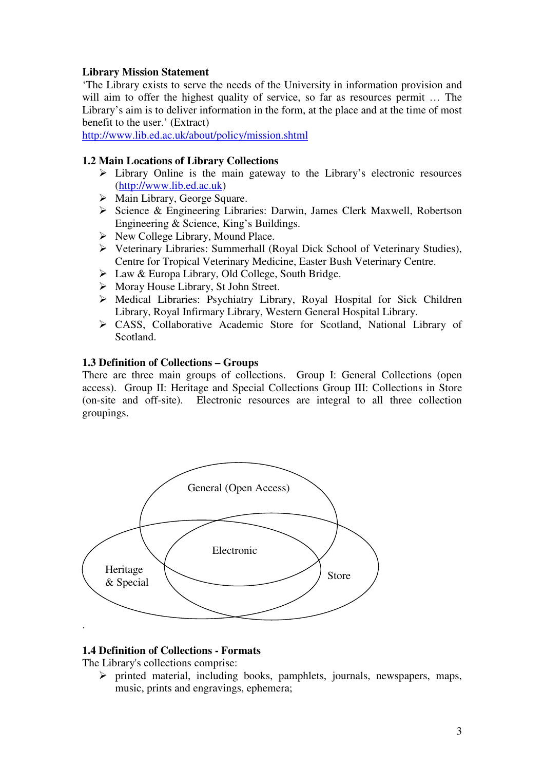#### Library Mission Statement

'The Library exists to serve the needs of the University in information provision and will aim to offer the highest quality of service, so far as resources permit ... The Library's aim is to deliver information in the form, at the place and at the time of most benefit to the user.' (Extract)

http://www.lib.ed.ac.uk/about/policy/mission.shtml

#### 1.2 Main Locations of Library Collections

- $\triangleright$  Library Online is the main gateway to the Library's electronic resources (http://www.lib.ed.ac.uk)
- Main Library, George Square.
- Science & Engineering Libraries: Darwin, James Clerk Maxwell, Robertson Engineering & Science, King's Buildings.
- $\triangleright$  New College Library, Mound Place.
- Veterinary Libraries: Summerhall (Royal Dick School of Veterinary Studies), Centre for Tropical Veterinary Medicine, Easter Bush Veterinary Centre.
- Law & Europa Library, Old College, South Bridge.
- $\triangleright$  Moray House Library, St John Street.
- Medical Libraries: Psychiatry Library, Royal Hospital for Sick Children Library, Royal Infirmary Library, Western General Hospital Library.
- CASS, Collaborative Academic Store for Scotland, National Library of Scotland.

#### 1.3 Definition of Collections – Groups

There are three main groups of collections. Group I: General Collections (open access). Group II: Heritage and Special Collections Group III: Collections in Store (on-site and off-site). Electronic resources are integral to all three collection groupings.



#### 1.4 Definition of Collections - Formats

The Library's collections comprise:

 $\triangleright$  printed material, including books, pamphlets, journals, newspapers, maps, music, prints and engravings, ephemera;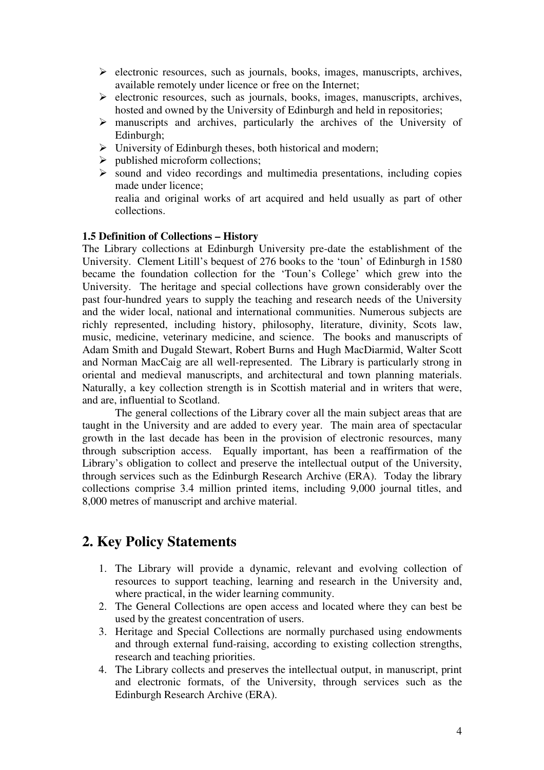- $\triangleright$  electronic resources, such as journals, books, images, manuscripts, archives, available remotely under licence or free on the Internet;
- $\triangleright$  electronic resources, such as journals, books, images, manuscripts, archives, hosted and owned by the University of Edinburgh and held in repositories;
- $\triangleright$  manuscripts and archives, particularly the archives of the University of Edinburgh;
- $\triangleright$  University of Edinburgh theses, both historical and modern;
- $\triangleright$  published microform collections;
- $\triangleright$  sound and video recordings and multimedia presentations, including copies made under licence;

realia and original works of art acquired and held usually as part of other collections.

#### 1.5 Definition of Collections – History

The Library collections at Edinburgh University pre-date the establishment of the University. Clement Litill's bequest of 276 books to the 'toun' of Edinburgh in 1580 became the foundation collection for the 'Toun's College' which grew into the University. The heritage and special collections have grown considerably over the past four-hundred years to supply the teaching and research needs of the University and the wider local, national and international communities. Numerous subjects are richly represented, including history, philosophy, literature, divinity, Scots law, music, medicine, veterinary medicine, and science. The books and manuscripts of Adam Smith and Dugald Stewart, Robert Burns and Hugh MacDiarmid, Walter Scott and Norman MacCaig are all well-represented. The Library is particularly strong in oriental and medieval manuscripts, and architectural and town planning materials. Naturally, a key collection strength is in Scottish material and in writers that were, and are, influential to Scotland.

The general collections of the Library cover all the main subject areas that are taught in the University and are added to every year. The main area of spectacular growth in the last decade has been in the provision of electronic resources, many through subscription access. Equally important, has been a reaffirmation of the Library's obligation to collect and preserve the intellectual output of the University, through services such as the Edinburgh Research Archive (ERA). Today the library collections comprise 3.4 million printed items, including 9,000 journal titles, and 8,000 metres of manuscript and archive material.

## 2. Key Policy Statements

- 1. The Library will provide a dynamic, relevant and evolving collection of resources to support teaching, learning and research in the University and, where practical, in the wider learning community.
- 2. The General Collections are open access and located where they can best be used by the greatest concentration of users.
- 3. Heritage and Special Collections are normally purchased using endowments and through external fund-raising, according to existing collection strengths, research and teaching priorities.
- 4. The Library collects and preserves the intellectual output, in manuscript, print and electronic formats, of the University, through services such as the Edinburgh Research Archive (ERA).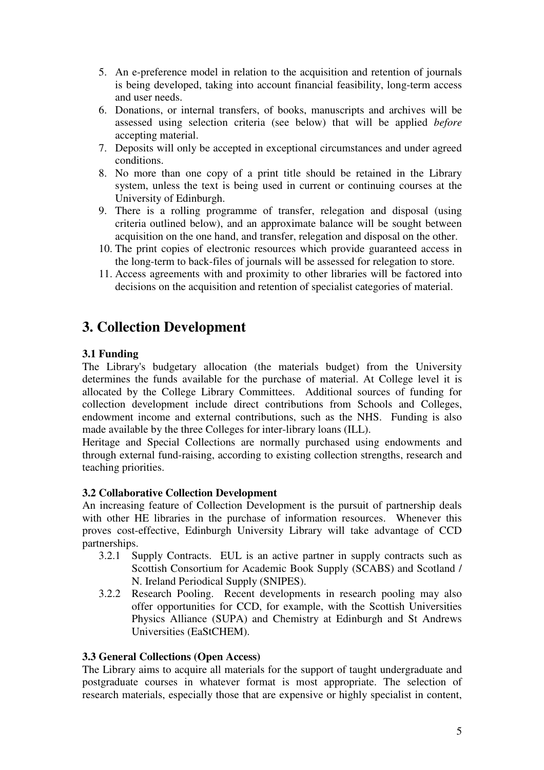- 5. An e-preference model in relation to the acquisition and retention of journals is being developed, taking into account financial feasibility, long-term access and user needs.
- 6. Donations, or internal transfers, of books, manuscripts and archives will be assessed using selection criteria (see below) that will be applied before accepting material.
- 7. Deposits will only be accepted in exceptional circumstances and under agreed conditions.
- 8. No more than one copy of a print title should be retained in the Library system, unless the text is being used in current or continuing courses at the University of Edinburgh.
- 9. There is a rolling programme of transfer, relegation and disposal (using criteria outlined below), and an approximate balance will be sought between acquisition on the one hand, and transfer, relegation and disposal on the other.
- 10. The print copies of electronic resources which provide guaranteed access in the long-term to back-files of journals will be assessed for relegation to store.
- 11. Access agreements with and proximity to other libraries will be factored into decisions on the acquisition and retention of specialist categories of material.

## 3. Collection Development

### 3.1 Funding

The Library's budgetary allocation (the materials budget) from the University determines the funds available for the purchase of material. At College level it is allocated by the College Library Committees. Additional sources of funding for collection development include direct contributions from Schools and Colleges, endowment income and external contributions, such as the NHS. Funding is also made available by the three Colleges for inter-library loans (ILL).

Heritage and Special Collections are normally purchased using endowments and through external fund-raising, according to existing collection strengths, research and teaching priorities.

#### 3.2 Collaborative Collection Development

An increasing feature of Collection Development is the pursuit of partnership deals with other HE libraries in the purchase of information resources. Whenever this proves cost-effective, Edinburgh University Library will take advantage of CCD partnerships.<br>3.2.1 St

- Supply Contracts. EUL is an active partner in supply contracts such as Scottish Consortium for Academic Book Supply (SCABS) and Scotland / N. Ireland Periodical Supply (SNIPES).
- 3.2.2 Research Pooling. Recent developments in research pooling may also offer opportunities for CCD, for example, with the Scottish Universities Physics Alliance (SUPA) and Chemistry at Edinburgh and St Andrews Universities (EaStCHEM).

#### 3.3 General Collections (Open Access)

The Library aims to acquire all materials for the support of taught undergraduate and postgraduate courses in whatever format is most appropriate. The selection of research materials, especially those that are expensive or highly specialist in content,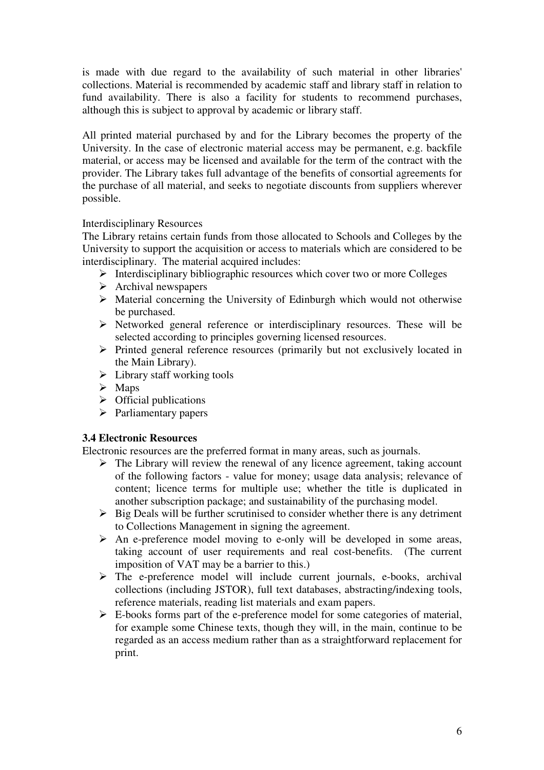is made with due regard to the availability of such material in other libraries' collections. Material is recommended by academic staff and library staff in relation to fund availability. There is also a facility for students to recommend purchases, although this is subject to approval by academic or library staff.

All printed material purchased by and for the Library becomes the property of the University. In the case of electronic material access may be permanent, e.g. backfile material, or access may be licensed and available for the term of the contract with the provider. The Library takes full advantage of the benefits of consortial agreements for the purchase of all material, and seeks to negotiate discounts from suppliers wherever possible.

#### Interdisciplinary Resources

The Library retains certain funds from those allocated to Schools and Colleges by the University to support the acquisition or access to materials which are considered to be interdisciplinary. The material acquired includes:

- $\triangleright$  Interdisciplinary bibliographic resources which cover two or more Colleges
- $\triangleright$  Archival newspapers
- Material concerning the University of Edinburgh which would not otherwise be purchased.
- $\triangleright$  Networked general reference or interdisciplinary resources. These will be selected according to principles governing licensed resources.
- $\triangleright$  Printed general reference resources (primarily but not exclusively located in the Main Library).
- $\triangleright$  Library staff working tools
- $\triangleright$  Maps
- $\triangleright$  Official publications
- $\triangleright$  Parliamentary papers

#### 3.4 Electronic Resources

Electronic resources are the preferred format in many areas, such as journals.

- $\triangleright$  The Library will review the renewal of any licence agreement, taking account of the following factors - value for money; usage data analysis; relevance of content; licence terms for multiple use; whether the title is duplicated in another subscription package; and sustainability of the purchasing model.
- $\triangleright$  Big Deals will be further scrutinised to consider whether there is any detriment to Collections Management in signing the agreement.
- $\triangleright$  An e-preference model moving to e-only will be developed in some areas, taking account of user requirements and real cost-benefits. (The current imposition of VAT may be a barrier to this.)
- $\triangleright$  The e-preference model will include current journals, e-books, archival collections (including JSTOR), full text databases, abstracting/indexing tools, reference materials, reading list materials and exam papers.
- $\triangleright$  E-books forms part of the e-preference model for some categories of material, for example some Chinese texts, though they will, in the main, continue to be regarded as an access medium rather than as a straightforward replacement for print.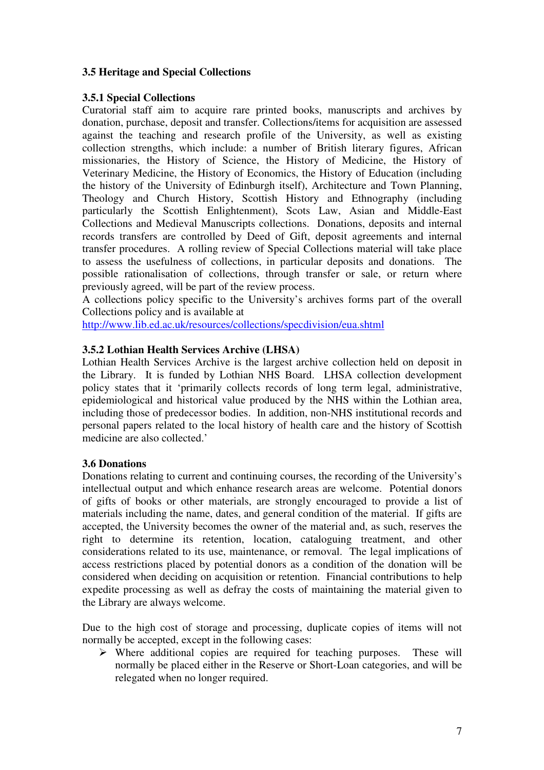#### 3.5 Heritage and Special Collections

#### 3.5.1 Special Collections

Curatorial staff aim to acquire rare printed books, manuscripts and archives by donation, purchase, deposit and transfer. Collections/items for acquisition are assessed against the teaching and research profile of the University, as well as existing collection strengths, which include: a number of British literary figures, African missionaries, the History of Science, the History of Medicine, the History of Veterinary Medicine, the History of Economics, the History of Education (including the history of the University of Edinburgh itself), Architecture and Town Planning, Theology and Church History, Scottish History and Ethnography (including particularly the Scottish Enlightenment), Scots Law, Asian and Middle-East Collections and Medieval Manuscripts collections. Donations, deposits and internal records transfers are controlled by Deed of Gift, deposit agreements and internal transfer procedures. A rolling review of Special Collections material will take place to assess the usefulness of collections, in particular deposits and donations. The possible rationalisation of collections, through transfer or sale, or return where previously agreed, will be part of the review process.

A collections policy specific to the University's archives forms part of the overall Collections policy and is available at

http://www.lib.ed.ac.uk/resources/collections/specdivision/eua.shtml

#### 3.5.2 Lothian Health Services Archive (LHSA)

Lothian Health Services Archive is the largest archive collection held on deposit in the Library. It is funded by Lothian NHS Board. LHSA collection development policy states that it 'primarily collects records of long term legal, administrative, epidemiological and historical value produced by the NHS within the Lothian area, including those of predecessor bodies. In addition, non-NHS institutional records and personal papers related to the local history of health care and the history of Scottish medicine are also collected.'

#### 3.6 Donations

Donations relating to current and continuing courses, the recording of the University's intellectual output and which enhance research areas are welcome. Potential donors of gifts of books or other materials, are strongly encouraged to provide a list of materials including the name, dates, and general condition of the material. If gifts are accepted, the University becomes the owner of the material and, as such, reserves the right to determine its retention, location, cataloguing treatment, and other considerations related to its use, maintenance, or removal. The legal implications of access restrictions placed by potential donors as a condition of the donation will be considered when deciding on acquisition or retention. Financial contributions to help expedite processing as well as defray the costs of maintaining the material given to the Library are always welcome.

Due to the high cost of storage and processing, duplicate copies of items will not normally be accepted, except in the following cases:

 $\triangleright$  Where additional copies are required for teaching purposes. These will normally be placed either in the Reserve or Short-Loan categories, and will be relegated when no longer required.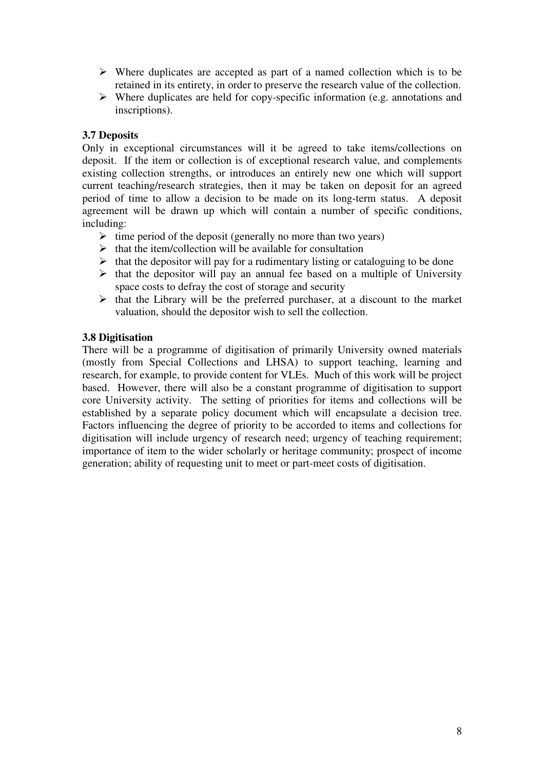- $\triangleright$  Where duplicates are accepted as part of a named collection which is to be retained in its entirety, in order to preserve the research value of the collection.
- $\triangleright$  Where duplicates are held for copy-specific information (e.g. annotations and inscriptions).

#### 3.7 Deposits

Only in exceptional circumstances will it be agreed to take items/collections on deposit. If the item or collection is of exceptional research value, and complements existing collection strengths, or introduces an entirely new one which will support current teaching/research strategies, then it may be taken on deposit for an agreed period of time to allow a decision to be made on its long-term status. A deposit agreement will be drawn up which will contain a number of specific conditions, including:

- $\triangleright$  time period of the deposit (generally no more than two years)
- $\triangleright$  that the item/collection will be available for consultation
- $\triangleright$  that the depositor will pay for a rudimentary listing or cataloguing to be done
- $\triangleright$  that the depositor will pay an annual fee based on a multiple of University space costs to defray the cost of storage and security
- $\triangleright$  that the Library will be the preferred purchaser, at a discount to the market valuation, should the depositor wish to sell the collection.

#### 3.8 Digitisation

There will be a programme of digitisation of primarily University owned materials (mostly from Special Collections and LHSA) to support teaching, learning and research, for example, to provide content for VLEs. Much of this work will be project based. However, there will also be a constant programme of digitisation to support core University activity. The setting of priorities for items and collections will be established by a separate policy document which will encapsulate a decision tree. Factors influencing the degree of priority to be accorded to items and collections for digitisation will include urgency of research need; urgency of teaching requirement; importance of item to the wider scholarly or heritage community; prospect of income generation; ability of requesting unit to meet or part-meet costs of digitisation.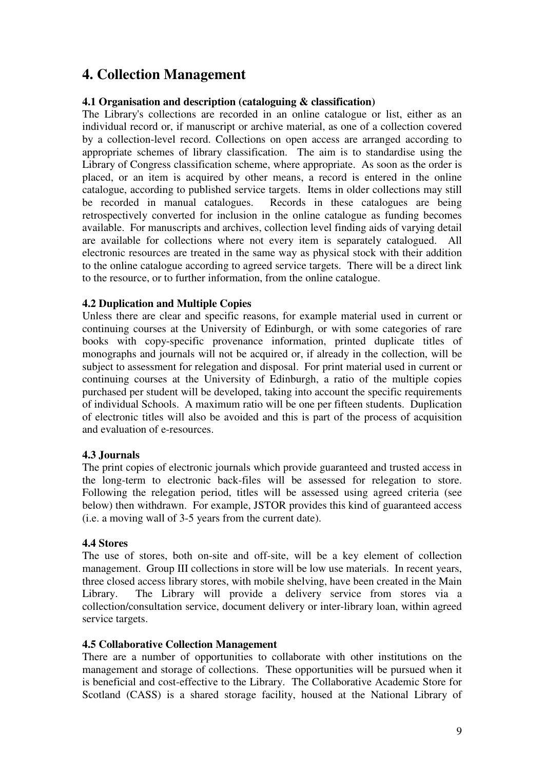## 4. Collection Management

#### 4.1 Organisation and description (cataloguing & classification)

The Library's collections are recorded in an online catalogue or list, either as an individual record or, if manuscript or archive material, as one of a collection covered by a collection-level record. Collections on open access are arranged according to appropriate schemes of library classification. The aim is to standardise using the Library of Congress classification scheme, where appropriate. As soon as the order is placed, or an item is acquired by other means, a record is entered in the online catalogue, according to published service targets. Items in older collections may still be recorded in manual catalogues. Records in these catalogues are being retrospectively converted for inclusion in the online catalogue as funding becomes available. For manuscripts and archives, collection level finding aids of varying detail are available for collections where not every item is separately catalogued. All electronic resources are treated in the same way as physical stock with their addition to the online catalogue according to agreed service targets. There will be a direct link to the resource, or to further information, from the online catalogue.

#### 4.2 Duplication and Multiple Copies

Unless there are clear and specific reasons, for example material used in current or continuing courses at the University of Edinburgh, or with some categories of rare books with copy-specific provenance information, printed duplicate titles of monographs and journals will not be acquired or, if already in the collection, will be subject to assessment for relegation and disposal. For print material used in current or continuing courses at the University of Edinburgh, a ratio of the multiple copies purchased per student will be developed, taking into account the specific requirements of individual Schools. A maximum ratio will be one per fifteen students. Duplication of electronic titles will also be avoided and this is part of the process of acquisition and evaluation of e-resources.

#### 4.3 Journals

The print copies of electronic journals which provide guaranteed and trusted access in the long-term to electronic back-files will be assessed for relegation to store. Following the relegation period, titles will be assessed using agreed criteria (see below) then withdrawn. For example, JSTOR provides this kind of guaranteed access (i.e. a moving wall of 3-5 years from the current date).

#### 4.4 Stores

The use of stores, both on-site and off-site, will be a key element of collection management. Group III collections in store will be low use materials. In recent years, three closed access library stores, with mobile shelving, have been created in the Main Library. The Library will provide a delivery service from stores via a collection/consultation service, document delivery or inter-library loan, within agreed service targets.

#### 4.5 Collaborative Collection Management

There are a number of opportunities to collaborate with other institutions on the management and storage of collections. These opportunities will be pursued when it is beneficial and cost-effective to the Library. The Collaborative Academic Store for Scotland (CASS) is a shared storage facility, housed at the National Library of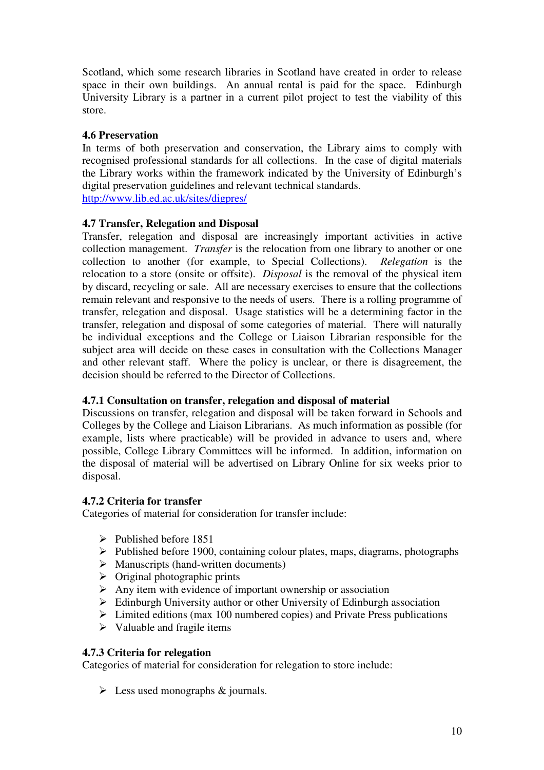Scotland, which some research libraries in Scotland have created in order to release space in their own buildings. An annual rental is paid for the space. Edinburgh University Library is a partner in a current pilot project to test the viability of this store.

#### 4.6 Preservation

In terms of both preservation and conservation, the Library aims to comply with recognised professional standards for all collections. In the case of digital materials the Library works within the framework indicated by the University of Edinburgh's digital preservation guidelines and relevant technical standards. http://www.lib.ed.ac.uk/sites/digpres/

#### 4.7 Transfer, Relegation and Disposal

Transfer, relegation and disposal are increasingly important activities in active collection management. Transfer is the relocation from one library to another or one collection to another (for example, to Special Collections). Relegation is the relocation to a store (onsite or offsite). *Disposal* is the removal of the physical item by discard, recycling or sale. All are necessary exercises to ensure that the collections remain relevant and responsive to the needs of users. There is a rolling programme of transfer, relegation and disposal. Usage statistics will be a determining factor in the transfer, relegation and disposal of some categories of material. There will naturally be individual exceptions and the College or Liaison Librarian responsible for the subject area will decide on these cases in consultation with the Collections Manager and other relevant staff. Where the policy is unclear, or there is disagreement, the decision should be referred to the Director of Collections.

#### 4.7.1 Consultation on transfer, relegation and disposal of material

Discussions on transfer, relegation and disposal will be taken forward in Schools and Colleges by the College and Liaison Librarians. As much information as possible (for example, lists where practicable) will be provided in advance to users and, where possible, College Library Committees will be informed. In addition, information on the disposal of material will be advertised on Library Online for six weeks prior to disposal.

#### 4.7.2 Criteria for transfer

Categories of material for consideration for transfer include:

- $\triangleright$  Published before 1851
- $\triangleright$  Published before 1900, containing colour plates, maps, diagrams, photographs
- $\triangleright$  Manuscripts (hand-written documents)
- $\triangleright$  Original photographic prints
- $\triangleright$  Any item with evidence of important ownership or association
- $\triangleright$  Edinburgh University author or other University of Edinburgh association
- $\triangleright$  Limited editions (max 100 numbered copies) and Private Press publications
- $\triangleright$  Valuable and fragile items

#### 4.7.3 Criteria for relegation

Categories of material for consideration for relegation to store include:

 $\triangleright$  Less used monographs & journals.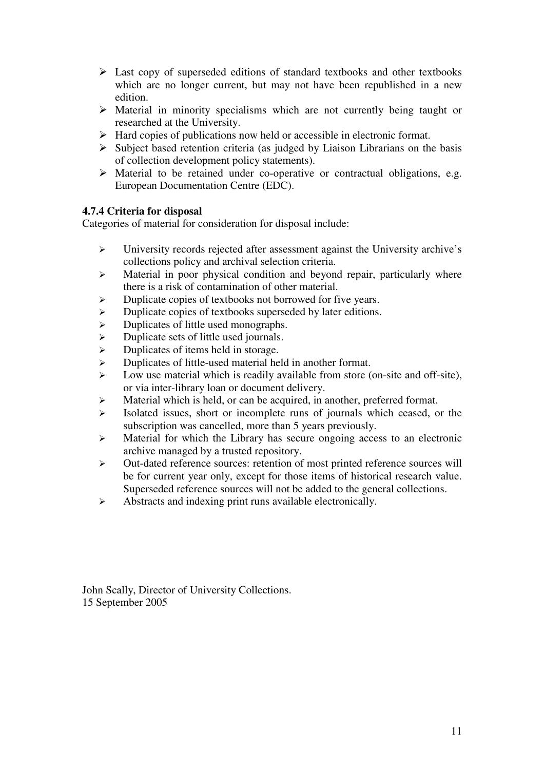- $\triangleright$  Last copy of superseded editions of standard textbooks and other textbooks which are no longer current, but may not have been republished in a new edition.
- Material in minority specialisms which are not currently being taught or researched at the University.
- $\triangleright$  Hard copies of publications now held or accessible in electronic format.
- $\triangleright$  Subject based retention criteria (as judged by Liaison Librarians on the basis of collection development policy statements).
- Material to be retained under co-operative or contractual obligations, e.g. European Documentation Centre (EDC).

### 4.7.4 Criteria for disposal

Categories of material for consideration for disposal include:

- University records rejected after assessment against the University archive's collections policy and archival selection criteria.
- $\triangleright$  Material in poor physical condition and beyond repair, particularly where there is a risk of contamination of other material.
- $\triangleright$  Duplicate copies of textbooks not borrowed for five years.
- $\triangleright$  Duplicate copies of textbooks superseded by later editions.
- > Duplicates of little used monographs.
- $\triangleright$  Duplicate sets of little used journals.
- $\triangleright$  Duplicates of items held in storage.
- Duplicates of little-used material held in another format.
- $\triangleright$  Low use material which is readily available from store (on-site and off-site), or via inter-library loan or document delivery.
- $\triangleright$  Material which is held, or can be acquired, in another, preferred format.
- $\triangleright$  Isolated issues, short or incomplete runs of journals which ceased, or the subscription was cancelled, more than 5 years previously.
- $\triangleright$  Material for which the Library has secure ongoing access to an electronic archive managed by a trusted repository.
- Out-dated reference sources: retention of most printed reference sources will be for current year only, except for those items of historical research value. Superseded reference sources will not be added to the general collections.
- $\triangleright$  Abstracts and indexing print runs available electronically.

John Scally, Director of University Collections. 15 September 2005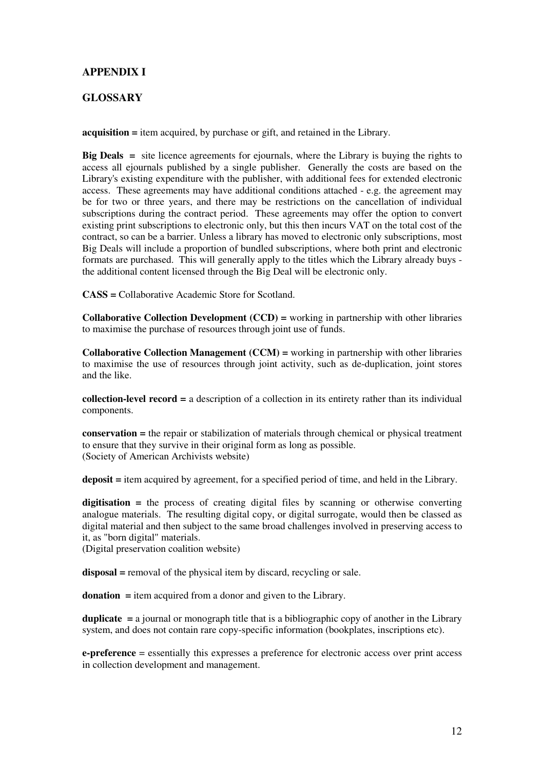#### APPENDIX I

#### GLOSSARY

acquisition = item acquired, by purchase or gift, and retained in the Library.

Big Deals = site licence agreements for ejournals, where the Library is buying the rights to access all ejournals published by a single publisher. Generally the costs are based on the Library's existing expenditure with the publisher, with additional fees for extended electronic access. These agreements may have additional conditions attached - e.g. the agreement may be for two or three years, and there may be restrictions on the cancellation of individual subscriptions during the contract period. These agreements may offer the option to convert existing print subscriptions to electronic only, but this then incurs VAT on the total cost of the contract, so can be a barrier. Unless a library has moved to electronic only subscriptions, most Big Deals will include a proportion of bundled subscriptions, where both print and electronic formats are purchased. This will generally apply to the titles which the Library already buys the additional content licensed through the Big Deal will be electronic only.

CASS = Collaborative Academic Store for Scotland.

**Collaborative Collection Development (CCD)** = working in partnership with other libraries to maximise the purchase of resources through joint use of funds.

**Collaborative Collection Management (CCM)** = working in partnership with other libraries to maximise the use of resources through joint activity, such as de-duplication, joint stores and the like.

collection-level record = a description of a collection in its entirety rather than its individual components.

conservation = the repair or stabilization of materials through chemical or physical treatment to ensure that they survive in their original form as long as possible. (Society of American Archivists website)

deposit = item acquired by agreement, for a specified period of time, and held in the Library.

digitisation = the process of creating digital files by scanning or otherwise converting analogue materials. The resulting digital copy, or digital surrogate, would then be classed as digital material and then subject to the same broad challenges involved in preserving access to it, as "born digital" materials.

(Digital preservation coalition website)

disposal = removal of the physical item by discard, recycling or sale.

donation = item acquired from a donor and given to the Library.

**duplicate**  $=$  a journal or monograph title that is a bibliographic copy of another in the Library system, and does not contain rare copy-specific information (bookplates, inscriptions etc).

e-preference = essentially this expresses a preference for electronic access over print access in collection development and management.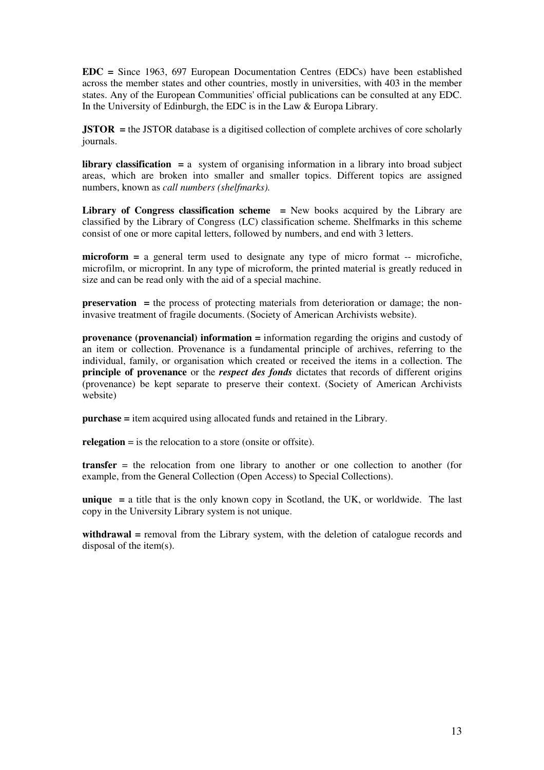EDC = Since 1963, 697 European Documentation Centres (EDCs) have been established across the member states and other countries, mostly in universities, with 403 in the member states. Any of the European Communities' official publications can be consulted at any EDC. In the University of Edinburgh, the EDC is in the Law & Europa Library.

JSTOR = the JSTOR database is a digitised collection of complete archives of core scholarly journals.

library classification = a system of organising information in a library into broad subject areas, which are broken into smaller and smaller topics. Different topics are assigned numbers, known as call numbers (shelfmarks).

Library of Congress classification scheme  $=$  New books acquired by the Library are classified by the Library of Congress (LC) classification scheme. Shelfmarks in this scheme consist of one or more capital letters, followed by numbers, and end with 3 letters.

 $microform = a general term used to designate any type of microform  $-\frac{1}{2}$  -- microfiche,$ microfilm, or microprint. In any type of microform, the printed material is greatly reduced in size and can be read only with the aid of a special machine.

preservation = the process of protecting materials from deterioration or damage; the noninvasive treatment of fragile documents. (Society of American Archivists website).

provenance (provenancial) information = information regarding the origins and custody of an item or collection. Provenance is a fundamental principle of archives, referring to the individual, family, or organisation which created or received the items in a collection. The principle of provenance or the *respect des fonds* dictates that records of different origins (provenance) be kept separate to preserve their context. (Society of American Archivists website)

purchase = item acquired using allocated funds and retained in the Library.

relegation  $=$  is the relocation to a store (onsite or offsite).

transfer = the relocation from one library to another or one collection to another (for example, from the General Collection (Open Access) to Special Collections).

unique  $=$  a title that is the only known copy in Scotland, the UK, or worldwide. The last copy in the University Library system is not unique.

withdrawal = removal from the Library system, with the deletion of catalogue records and disposal of the item(s).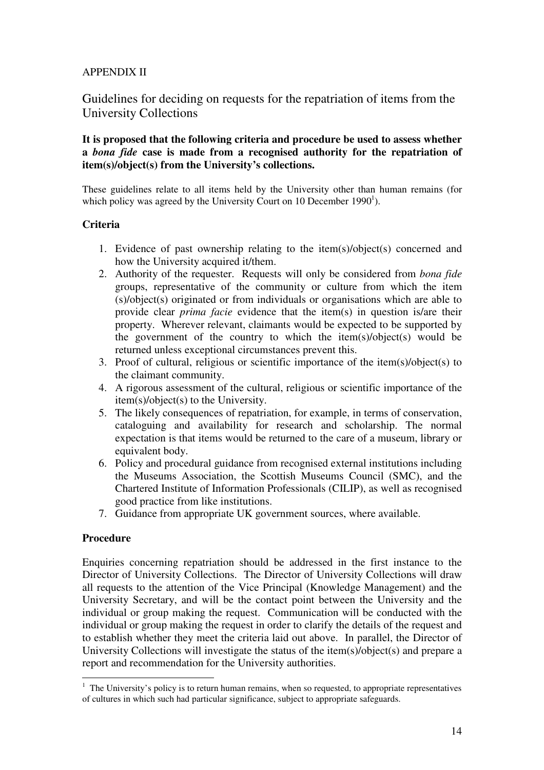#### APPENDIX II

Guidelines for deciding on requests for the repatriation of items from the University Collections

It is proposed that the following criteria and procedure be used to assess whether a bona fide case is made from a recognised authority for the repatriation of item(s)/object(s) from the University's collections.

These guidelines relate to all items held by the University other than human remains (for which policy was agreed by the University Court on 10 December 1990<sup>1</sup>).

#### **Criteria**

- 1. Evidence of past ownership relating to the item(s)/object(s) concerned and how the University acquired it/them.
- 2. Authority of the requester. Requests will only be considered from bona fide groups, representative of the community or culture from which the item (s)/object(s) originated or from individuals or organisations which are able to provide clear prima facie evidence that the item(s) in question is/are their property. Wherever relevant, claimants would be expected to be supported by the government of the country to which the item(s)/object(s) would be returned unless exceptional circumstances prevent this.
- 3. Proof of cultural, religious or scientific importance of the item(s)/object(s) to the claimant community.
- 4. A rigorous assessment of the cultural, religious or scientific importance of the item(s)/object(s) to the University.
- 5. The likely consequences of repatriation, for example, in terms of conservation, cataloguing and availability for research and scholarship. The normal expectation is that items would be returned to the care of a museum, library or equivalent body.
- 6. Policy and procedural guidance from recognised external institutions including the Museums Association, the Scottish Museums Council (SMC), and the Chartered Institute of Information Professionals (CILIP), as well as recognised good practice from like institutions.
- 7. Guidance from appropriate UK government sources, where available.

#### Procedure

Enquiries concerning repatriation should be addressed in the first instance to the Director of University Collections. The Director of University Collections will draw all requests to the attention of the Vice Principal (Knowledge Management) and the University Secretary, and will be the contact point between the University and the individual or group making the request. Communication will be conducted with the individual or group making the request in order to clarify the details of the request and to establish whether they meet the criteria laid out above. In parallel, the Director of University Collections will investigate the status of the item(s)/object(s) and prepare a report and recommendation for the University authorities.

 $\overline{a}$  $<sup>1</sup>$  The University's policy is to return human remains, when so requested, to appropriate representatives</sup> of cultures in which such had particular significance, subject to appropriate safeguards.